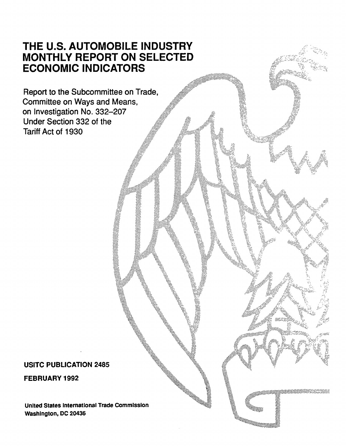# THE U.S. AUTOMOBILE INDUSTRY MONTHLY REPORT ON SELECTED ECONOMIC INDICATORS

Report to the Subcommittee on Trade, Committee on Ways and Means, on Investigation No. 332-207 Under Section 332 of the Tariff Act of 1930

## USITC PUBLICATION 2485

### FEBRUARY 1992

United States International Trade Commission Washington, DC 20436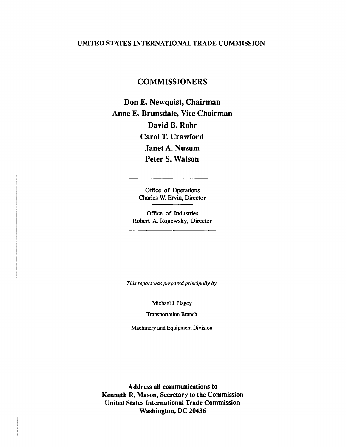### UNITED STATES INTERNATIONAL TRADE COMMISSION

# **COMMISSIONERS**

Don E. Newquist, Chairman Anne E. Brunsdale, Vice Chairman David B. Rohr Carol T. Crawford Janet A. Nuzum Peter S. Watson

> Office of Operations Charles W. Ervin, Director

Office of Industries Robert A. Rogowsky, Director

*This report was prepared principally by* 

Michael J. Hagey

Transportation Branch

Machinery and Equipment Division

Address all communications to Kenneth R. Mason, Secretary to the Commission United States International Trade Commission Washington, DC 20436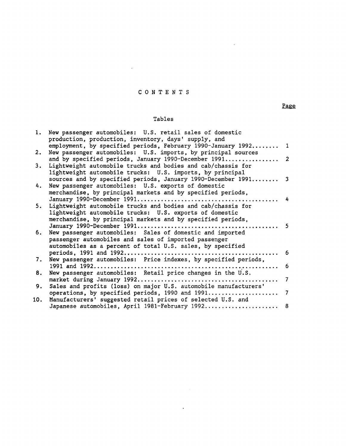### C 0 N T E N T S

 $\mathcal{L}^{\text{max}}_{\text{max}}$  , where  $\mathcal{L}^{\text{max}}_{\text{max}}$ 

Page

 $\sim 10^{11}$  km  $^{-1}$ 

#### Tables

| 1.  | New passenger automobiles: U.S. retail sales of domestic<br>production, production, inventory, days' supply, and              |                |
|-----|-------------------------------------------------------------------------------------------------------------------------------|----------------|
| 2.  | employment, by specified periods, February 1990-January 1992<br>New passenger automobiles: U.S. imports, by principal sources | $\mathbf{1}$   |
|     | and by specified periods, January 1990-December 1991 2                                                                        |                |
| 3.  | Lightweight automobile trucks and bodies and cab/chassis for<br>lightweight automobile trucks: U.S. imports, by principal     |                |
|     | sources and by specified periods, January 1990-December 1991 3                                                                |                |
| 4.  | New passenger automobiles: U.S. exports of domestic<br>merchandise, by principal markets and by specified periods,            |                |
| 5.  | Lightweight automobile trucks and bodies and cab/chassis for                                                                  | $\frac{1}{4}$  |
|     | lightweight automobile trucks: U.S. exports of domestic                                                                       |                |
|     | merchandise, by principal markets and by specified periods,                                                                   |                |
| 6.  | New passenger automobiles: Sales of domestic and imported                                                                     |                |
|     | passenger automobiles and sales of imported passenger<br>automobiles as a percent of total U.S. sales, by specified           |                |
|     |                                                                                                                               | - 6            |
| 7.  | New passenger automobiles: Price indexes, by specified periods,                                                               | -6             |
| 8.  | New passenger automobiles: Retail price changes in the U.S.                                                                   | $\overline{7}$ |
| 9.  | Sales and profits (loss) on major U.S. automobile manufacturers'                                                              |                |
| 10. | Manufacturers' suggested retail prices of selected U.S. and                                                                   |                |
|     | Japanese automobiles, April 1981-February 1992 8                                                                              |                |

 $\Delta \sim 10^{11}$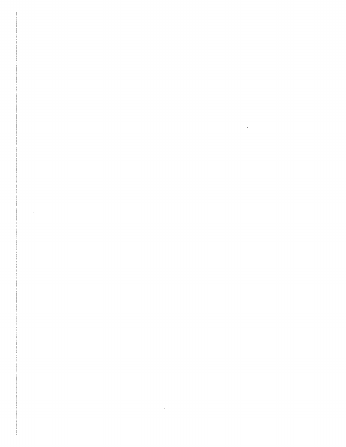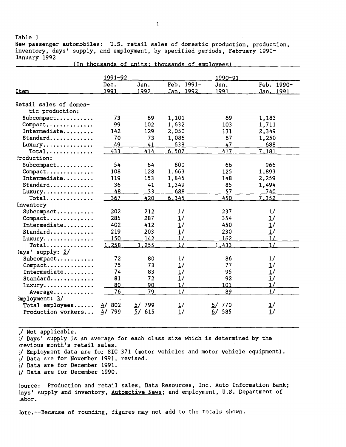New passenger automobiles: U.S. retail sales of domestic production, production, inventory, days' supply, and employment, by specified periods, February 1990- January 1992

(In thousands of units: thousands of employees)

|                             | $1991 - 92$ |           |               | 1990-91   |               |
|-----------------------------|-------------|-----------|---------------|-----------|---------------|
|                             | Dec.        | Jan.      | Feb. 1991-    | Jan.      | Feb. 1990-    |
| Item                        | 1991        | 1992      | 1992<br>Jan,  | 1991      | Jan. 1991     |
|                             |             |           |               |           |               |
| Retail sales of domes-      |             |           |               |           |               |
| tic production:             |             |           |               |           |               |
| Subcompact                  | 73          | 69        | 1,101         | 69        | 1,183         |
| Compact                     | 99          | 102       | 1,632         | 103       | 1,711         |
| Intermediate                | 142         | 129       | 2,050         | 131       | 2,349         |
| Standard                    | 70          | 73        | 1,086         | 67        | 1,250         |
| Luxury                      | 49          | 41        | 638           | 47        | 688           |
| $Total$                     | 433         | 414       | 6,507         | 417       | 7,181         |
| Production:                 |             |           |               |           |               |
| Subcompact                  | 54          | 64        | 800           | 66        | 966           |
| Compact                     | 108         | 128       | 1,663         | 125       | 1,893         |
| Intermediate                | 119         | 153       | 1,845         | 148       | 2,259         |
| Standard                    | 36          | 41        | 1,349         | 85        | 1,494         |
| Luxury                      | 48          | 33        | 688           | 57        | 740           |
| $Total$                     | 367         | 420       | 6.345         | 450       | 7,352         |
| Inventory                   |             |           |               |           |               |
| Subcompact                  | 202         | 212       | 1/            | 237       | 1/            |
| Compact                     | 285         | 287       | 1/            | 354       | 1/            |
| Intermediate                | 402         | 412       | 1/            | 450       | 1/            |
| Standard                    | 219         | 203       | 1/            | 230       | 1/            |
| Luxury                      | 150         | 142       | 1/            | 162       | 1/            |
| $Total$                     | 1,258       | 1,255     | 1/            | 1,433     | 1/            |
| $\text{days'}$ supply: $2/$ |             |           |               |           |               |
| Subcompact                  | 72          | 80        | 1/            | 86        | 1/            |
| Compact                     | 75          | 73        | 1/            | 77        | 1/            |
| Intermediate                | 74          | 83        | 1/            | 95        | 1/            |
| Standard                    | 81          | 72        | 1/            | 92        | 1/            |
| Luxury                      | 80          | 90        | 1/            | 101       | 1/            |
| Average                     | 76          | 79        | 1/            | 89        | 1/            |
| imployment: 3/              | ,           |           |               |           |               |
| Total employees             | 802<br>4/   | 799<br>5/ | $\frac{1}{2}$ | 6/770     | $\frac{1}{2}$ |
| Production workers          | 799<br>4/   | 5/615     | 1/            | 585<br>6/ | 1/            |
|                             |             |           |               |           |               |

*.I* Not applicable.

Table 1

!/ Days' supply is an average for each class size which is determined by the >revious month's retail sales. 1/ Employment data are for SIC 371 (motor vehicles and motor vehicle equipment).  $1/$  Data are for November 1991, revised.

 $1/$  Data are for December 1991.

 $\frac{1}{2}$  Data are for December 1990.

iource: Production and retail sales, Data Resources, Inc. Auto Information Bank; lays' supply and inventory, Automotive News; and employment, U.S. Department of .abor.

lote.--Because of rounding, figures may not add to the totals shown.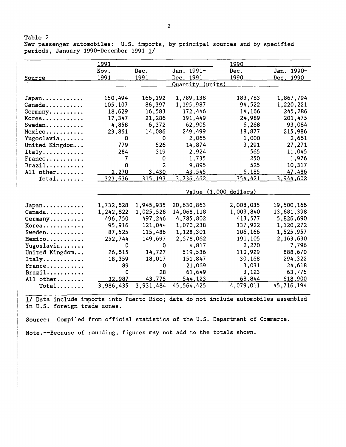#### Table 2

New passenger automobiles: U.S. imports, by principal sources and by specified periods, January 1990-December 1991 1/

|                                  | 1991      |             |                  | 1990                    |            |  |  |  |
|----------------------------------|-----------|-------------|------------------|-------------------------|------------|--|--|--|
|                                  | Nov.      | Dec.        | Jan. 1991-       | Dec.                    | Jan. 1990- |  |  |  |
| Source                           | 1991      | 1991        | <u>Dec, 1991</u> | 1990                    | Dec. 1990  |  |  |  |
|                                  |           |             | Quantity (units) |                         |            |  |  |  |
|                                  |           |             |                  |                         |            |  |  |  |
| Japan                            | 150,494   | 166,192     | 1,789,138        | 183,783                 | 1,867,794  |  |  |  |
| $Canada \ldots \ldots \ldots$    | 105,107   | 86,397      | 1,195,987        | 94,522                  | 1,220,221  |  |  |  |
| Germany                          | 18,629    | 16,583      | 172,446          | 14,166                  | 245,286    |  |  |  |
| Korea                            | 17,347    | 21,286      | 191,449          | 24,989                  | 201,475    |  |  |  |
| Sweden                           | 4,858     | 6,372       | 62,905           | 6,268                   | 93,084     |  |  |  |
| Mexico                           | 23,861    | 14,086      | 249,499          | 18,877                  | 215,986    |  |  |  |
| Yugoslavia                       | 0         | 0           | 2,065            | 1,000                   | 2,661      |  |  |  |
| United Kingdom                   | 779       | 526         | 14,874           | 3,291                   | 27,271     |  |  |  |
| Italy                            | 284       | 319         | 2,924            | 565                     | 11,045     |  |  |  |
| France                           | 7         | 0           | 1,735            | 250                     | 1,976      |  |  |  |
| $Brazi1, \ldots, \ldots, \ldots$ | 0         | 2           | 9,895            | 525                     | 10,317     |  |  |  |
| All other                        | 2,270     | 3,430       | 43,545           | 6,185                   | 47,486     |  |  |  |
| $Total$                          | 323,636   | 315,193     | 3,736,462        | 354,421                 | 3,944,602  |  |  |  |
|                                  |           |             |                  |                         |            |  |  |  |
|                                  |           |             |                  | $Value (1,000$ dollars) |            |  |  |  |
| Japan                            | 1,732,628 | 1,945,935   | 20,630,863       | 2,008,035               | 19,500,166 |  |  |  |
| Canada                           | 1,242,822 | 1,025,528   | 14,068,118       | 1,003,840               | 13,681,398 |  |  |  |
| Germany                          | 496,750   | 497,246     | 4,785,802        | 413,577                 | 5,826,690  |  |  |  |
| $K$ orea                         | 95,916    | 121,044     | 1,070,238        | 137,922                 | 1,120,272  |  |  |  |
| Sweden                           | 87,525    | 115,486     | 1,128,301        | 106,166                 | 1,525,957  |  |  |  |
| Mexico                           | 252,744   | 149,697     | 2,578,062        | 191,105                 | 2,163,630  |  |  |  |
| Yugoslavia                       | 0         | 0           | 4,817            | 2,270                   | 7,796      |  |  |  |
| United Kingdom                   | 26,615    | 14,727      | 519,536          | 110,929                 | 888,670    |  |  |  |
| Italy                            | 18,359    | 18,017      | 151,847          | 30,168                  | 294,322    |  |  |  |
| France                           | 89        | $\mathbf 0$ | 21,069           | 3,031                   | 24,618     |  |  |  |
| $Brazil$                         | 0         | 28          | 61,649           | 3,123                   | 63,775     |  |  |  |
| All other                        | 32,987    | 43,775      | 544,123          | 68,844                  | 618,900    |  |  |  |
| $Total$                          | 3,986,435 | 3,931,484   | 45,564,425       | 4,079,011               | 45,716,194 |  |  |  |

1/ Data include imports into Puerto Rico; data do not include automobiles assembled in U.S. foreign trade zones.

Source: Compiled from official statistics of the U.S. Department of Commerce.

Note.--Because of rounding, figures may not add to the totals shown.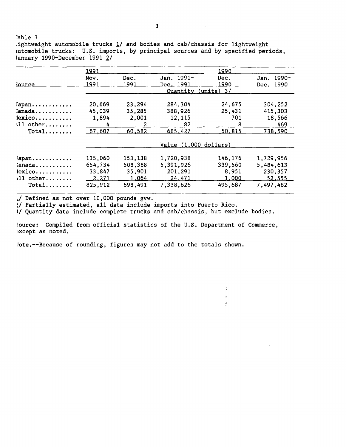.ightweight automobile trucks 1/ and bodies and cab/chassis for lightweight utomobile trucks: U.S. imports, by principal sources and by specified periods, January 1990-December 1991  $\frac{2}{1}$ 

|                | <u> 1991</u> |         |                         | 1990    |               |
|----------------|--------------|---------|-------------------------|---------|---------------|
|                | Nov.         | Dec.    | Jan. 1991-              | Dec.    | 1990-<br>Jan. |
| Source         | 1991         | 1991    | Dec. 1991               | 1990    | Dec. 1990     |
|                |              |         | Quantity (units) 3/     |         |               |
| Japan          | 20,669       | 23,294  | 284,304                 | 24,675  | 304,252       |
| $i$ anada      | 45,039       | 35,285  | 388,926                 | 25,431  | 415,303       |
| fexico         | 1,894        | 2,001   | 12,115                  | 701     | 18,566        |
| $11$ other     | 4            |         | 82                      | 8       | 469           |
| $Total$        | 67,607       | 60,582  | 685,427                 | 50,815  | 738,590       |
|                |              |         | Value $(1,000$ dollars) |         |               |
| $Iapan \ldots$ | 135,060      | 153,138 | 1,720,938               | 146,176 | 1,729,956     |
| lanada         | 654,734      | 508,388 | 5,391,926               | 339,560 | 5,484,613     |
| $lexico$       | 33,847       | 35,901  | 201,291                 | 8,951   | 230,357       |
| 111 other      | 2,271        | 1,064   | 24,471                  | 1,000   | 52,555        |
| $Total$        | 825,912      | 698,491 | 7,338,626               | 495,687 | 7,497,482     |

.I Defined as not over 10,000 pounds gvw.

rable 3

~/ Partially estimated, all data include imports into Puerto Rico.

l/ Quantity data include complete trucks and cab/chassis, but exclude bodies.

iource: Compiled from official statistics of the U.S. Department of Commerce, !Xcept as noted.

 $\frac{1}{2}$ ,

 $\ddot{\cdot}$  $\mathfrak{s}^{\scriptscriptstyle \top}$ 

rote.--Because of rounding, figures may not add to the totals shown.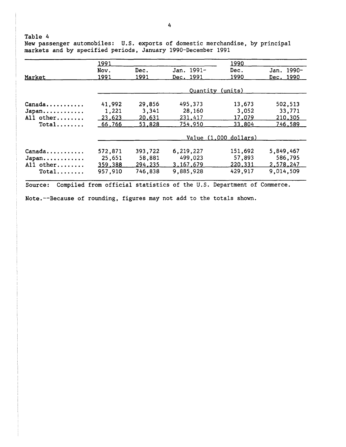Table 4

New passenger automobiles: U.S. exports of domestic merchandise, by principal markets and by specified periods, January 1990-December 1991

|                | 1991     |         |                  | 1990                 |            |
|----------------|----------|---------|------------------|----------------------|------------|
|                | Nov.     | Dec.    | Jan. 1991-       | Dec.                 | Jan. 1990- |
| Market         | 1991     | 1991    | Dec. 1991        | 1990                 | Dec. 1990  |
|                |          |         | Quantity (units) |                      |            |
| Canada         | 41,992   | 29,856  | 495,373          | 13,673               | 502,513    |
| Japan          | 1,221    | 3,341   | 28,160           | 3,052                | 33,771     |
| All other      | 23,623   | 20,631  | 231,417          | 17,079               | 210,305    |
| Total          | 66,766   | 53,828  | 754,950          | 33,804               | 746,589    |
|                |          |         |                  | Value(1,000 dollars) |            |
| Canada         | 572,871  | 393,722 | 6,219,227        | 151,692              | 5,849,467  |
| Japan          | 25,651   | 58,881  | 499,023          | 57,893               | 586,795    |
| All other      | 359, 388 | 294,235 | 3,167,679        | 220,331              | 2,578,247  |
| $Total \ldots$ | 957.910  | 746,838 | 9,885,928        | 429.917              | 9,014,509  |

Source: Compiled from official statistics of the U.S. Department of Commerce.

Note.--Because of rounding, figures may not add to the totals shown.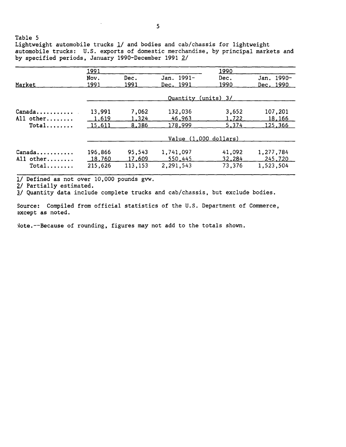Table 5

Lightweight automobile trucks  $\underline{1}/$  and bodies and cab/chassis for lightweight automobile trucks: U.S. exports of domestic merchandise, by principal markets and by specified periods, January 1990-December 1991 2/

|                     | 1991              |                  |                         | 1990             |                         |
|---------------------|-------------------|------------------|-------------------------|------------------|-------------------------|
| Market              | Nov.<br>1991      | Dec.<br>1991     | Jan. 1991-<br>Dec. 1991 | Dec.<br>1990     | Jan. 1990-<br>Dec. 1990 |
|                     |                   |                  | Quantity (units) 3/     |                  |                         |
| Canada<br>All other | 13,991<br>1,619   | 7,062<br>1,324   | 132,036<br>46,963       | 3,652<br>1,722   | 107,201<br>18,166       |
| $Total$             | 15,611            | 8,386            | 178,999                 | 5,374            | 125,366                 |
|                     |                   |                  | Value $(1,000$ dollars) |                  |                         |
| Canada<br>All other | 196,866<br>18,760 | 95,543<br>17,609 | 1,741,097<br>550,445    | 41,092<br>32,284 | 1,277,784<br>245,720    |
| $Total \ldots$      | 215,626           | 113,153          | 2,291,543               | 73,376           | 1,523,504               |

l/ Defined as not over 10,000 pounds gvw.

2/ Partially estimated.

l/ Quantity data include complete trucks and cab/chassis, but exclude bodies.

Source: Compiled from official statistics of the U.S. Department of Commerce, except as noted.

Note.--Because of rounding, figures may not add to the totals shown.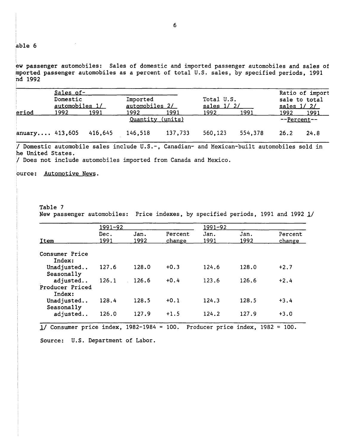able 6

ew passenger automobiles: Sales of domestic and imported passenger automobiles and sales of mported passenger automobiles as a percent of total U.S. sales, by specified periods, 1991 nd 1992

|                | Sales of-<br>Domestic<br>automobiles 1/ |         | Imported<br>automobiles 2/ |               | Total U.S.<br>sales $1/2/$ |         | Ratio of import<br>sale to total<br>sales 1/ 2/ |               |
|----------------|-----------------------------------------|---------|----------------------------|---------------|----------------------------|---------|-------------------------------------------------|---------------|
| eriod          | 1992                                    | 1991    | 1992.                      | <u> 1991 </u> | 1992                       | 1991    | 1992                                            | <u> 1991 </u> |
|                |                                         |         | Quantity (units)           |               |                            |         |                                                 | --Percent--   |
| anuary 413,605 |                                         | 416,645 | 146,518                    | 137,733       | 560,123                    | 554,378 | 26.2                                            | 24.8          |

1 / Domestic automobile sales include U.S. - , Canadian- and Mexican-built automobiles sold in he United States.

:; Does not include automobiles imported from Canada and Mexico.

ource: Automotive News.

Table 7 New passenger automobiles: Price indexes, by specified periods, 1991 and 1992 1/

|                                       | $1991 - 92$  |              |                   | $1991 - 92$  |              |                          |  |  |  |
|---------------------------------------|--------------|--------------|-------------------|--------------|--------------|--------------------------|--|--|--|
| Item                                  | Dec.<br>1991 | Jan.<br>1992 | Percent<br>change | Jan.<br>1991 | Jan.<br>1992 | Percent<br><u>change</u> |  |  |  |
| Consumer Price<br>Index:              |              |              |                   |              |              |                          |  |  |  |
| Unadjusted<br>Seasonally              | 127.6        | 128.0        | $+0.3$            | 124.6        | 128.0        | $+2.7$                   |  |  |  |
| adjusted<br>Producer Priced<br>Index: | 126.1        | 126.6        | $+0.4$            | 123.6        | 126.6        | $+2.4$                   |  |  |  |
| Unadjusted<br>Seasonally              | 128.4        | 128.5        | $+0.1$            | 124.3        | 128.5        | $+3.4$                   |  |  |  |
| adjusted                              | 126.0        | 127.9        | $+1.5$            | 124.2        | 127.9        | $+3.0$                   |  |  |  |

1/ Consumer price index,  $1982-1984 = 100$ . Producer price index,  $1982 = 100$ .

Source: U.S. Department of Labor.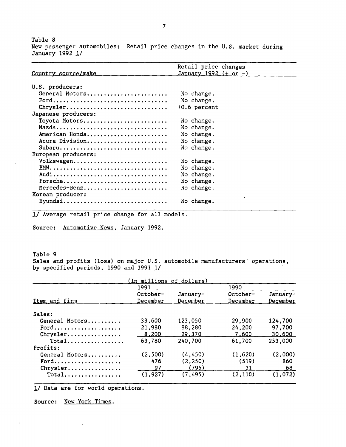Table 8 New passenger automobiles: Retail price changes in the U.S. market during January 1992 1/

|                     | Retail price changes         |
|---------------------|------------------------------|
| Country source/make | <u>January 1992 (+ or -)</u> |
|                     |                              |
| U.S. producers:     |                              |
| General Motors      | No change.                   |
| Ford                | No change.                   |
| Chrysler            | +0.6 percent                 |
| Japanese producers: |                              |
| Toyota Motors       | No change.                   |
| Mazda               | No change.                   |
| American Honda      | No change.                   |
| Acura Division      | No change.                   |
|                     | No change.                   |
| European producers: |                              |
| Volkswagen          | No change.                   |
|                     | No change.                   |
| Audi                | No change.                   |
| Porsche             | No change.                   |
| Mercedes-Benz       | No change.                   |
| Korean producer:    |                              |
| Hyundai             | No change.                   |

1/ Average retail price change for all models.

Source: Automotive News, January 1992.

#### Table 9

Sales and profits (loss) on major U.S. automobile manufacturers' operations, by specified periods, 1990 and 1991 1/

|                | (In millions of dollars) |          |          |               |  |
|----------------|--------------------------|----------|----------|---------------|--|
|                | 1991                     |          | 1990     |               |  |
|                | October-                 | January- | October- | January-      |  |
| Item and firm  | December                 | December | December | December      |  |
| Sales:         |                          |          |          |               |  |
| General Motors | 33,600                   | 123,050  | 29,900   | 124,700       |  |
| Ford           | 21,980                   | 88,280   | 24,200   | 97,700        |  |
| Chrysler       | 8,200                    | 29,370   | 7,600    | <u>30,600</u> |  |
| $Total$        | 63,780                   | 240,700  | 61,700   | 253,000       |  |
| Profits:       |                          |          |          |               |  |
| General Motors | (2,500)                  | (4, 450) | (1,620)  | (2,000)       |  |
| Ford           | 476                      | (2, 250) | (519)    | 860           |  |
| Chrysler       | 97                       | (795)    | 31       | <u>68</u>     |  |
| Total          | (1, 927)                 | (7, 495) | (2, 110) | (1,072)       |  |

1/ Data are for world operations.

Source: New York Times.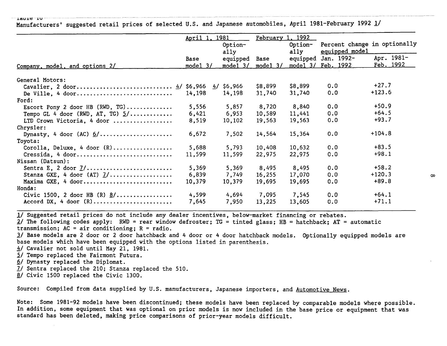| .                                                                                                             |  |  |  |  |  |
|---------------------------------------------------------------------------------------------------------------|--|--|--|--|--|
| Manufacturers' suggested retail prices of selected U.S. and Japanese automobiles, April 1981-February 1992 1/ |  |  |  |  |  |

|                                       | April 1    | 1981       | February 1, 1992 |         |                     |                              |  |
|---------------------------------------|------------|------------|------------------|---------|---------------------|------------------------------|--|
|                                       |            | Option-    |                  | Option- |                     | Percent change in optionally |  |
|                                       |            | ally       |                  | a11y    | equipped model      |                              |  |
|                                       | Base       | equipped   | Base             |         | equipped Jan. 1992- | Apr. 1981-                   |  |
| Company, model, and options 2/        | $model$ 3/ | model $3/$ | model $3/$       |         | mode1 3/ Feb. 1992  | Feb. 1992                    |  |
| General Motors:                       |            |            |                  |         |                     |                              |  |
|                                       |            |            | \$8,899          | \$8,899 | 0.0                 | $+27.7$                      |  |
|                                       | 14,198     | 14,198     | 31,740           | 31,740  | 0.0                 | $+123.6$                     |  |
| Ford:                                 |            |            |                  |         |                     |                              |  |
| Escort Pony 2 door HB (RWD, TG)       | 5,556      | 5,857      | 8,720            | 8,840   | 0.0                 | $+50.9$                      |  |
| Tempo GL 4 door (RWD, AT, TG) $5/$    | 6,421      | 6,953      | 10,589           | 11,441  | 0.0                 | $+64.5$                      |  |
| LTD Crown Victoria, 4 door            | 8,519      | 10,102     | 19,563           | 19,563  | 0.0                 | $+93.7$                      |  |
| Chrysler:                             |            |            |                  |         |                     |                              |  |
| Dynasty, 4 door (AC) $\underline{6}/$ | 6,672      | 7,502      | 14,564           | 15,364  | 0.0                 | $+104.8$                     |  |
| Toyota:                               |            |            |                  |         |                     |                              |  |
| Corolla, Deluxe, 4 door $(R)$         | 5,688      | 5,793      | 10,408           | 10,632  | 0.0                 | $+83.5$                      |  |
| Cressida, 4 door                      | 11,599     | 11,599     | 22,975           | 22,975  | 0.0                 | $+98.1$                      |  |
| Nissan (Datsun):                      |            |            |                  |         |                     |                              |  |
| Sentra E. 2 door $1/$                 | 5,369      | 5,369      | 8,495            | 8,495   | 0.0                 | $+58.2$                      |  |
| Stanza GXE, 4 door (AT) $\frac{7}{1}$ | 6,839      | 7,749      | 16,255           | 17,070  | 0.0                 | $+120.3$                     |  |
| Maxima GXE, 4 door                    | 10,379     | 10,379     | 19,695           | 19,695  | 0.0                 | $+89.8$                      |  |
| Honda:                                |            |            |                  |         |                     |                              |  |
| Civic 1500, 2 door HB (R) $g/$        | 4,599      | 4,694      | 7,095            | 7,545   | 0.0                 | $+64.1$                      |  |
| Accord DX, 4 door $(R)$               | 7,645      | 7,950      | 13,225           | 13,605  | 0.0                 | $+71.1$                      |  |

1/ Suggested retail prices do not include any dealer incentives, below-market financing or rebates.

*ZI* The following codes apply: RWD = rear window defroster; TG = tinted glass; HB = hatchback; AT = automatic transmission;  $AC = air conditioning; R = radio$ .

1/ Base models are 2 door or 2 door hatchback and 4 door or 4 door hatchback models. Optionally equipped models are base models which have been equipped with the options listed in parenthesis.

!/ Cavalier not sold until May 21, 1981.

2/ Tempo replaced the Fairmont Futura.

Q/ Dynasty replaced the Diplomat.

 $\blacksquare$ Lau $\blacksquare$ 

1/ Sentra replaced the 210; Stanza replaced the 510.

 $/$  Civic 1500 replaced the Civic 1300.

Source: Compiled from data supplied by U.S. manufacturers, Japanese importers, and Automotive News.

Note: Some 1981-92 models have been discontinued; these models have been replaced by comparable models where possible. In addition, some equipment that was optional on prior models is now included in the base price or equipment that was standard has been deleted, making price comparisons of prior-year models difficult.